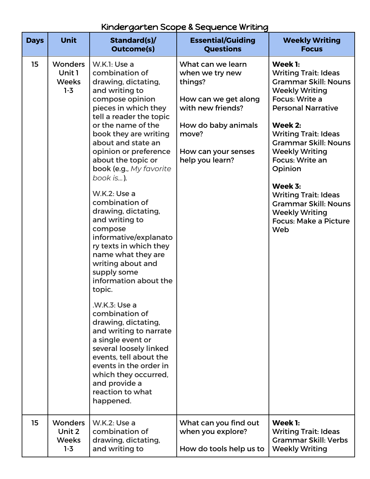## Kindergarten Scope & Sequence Writing

| <b>Days</b> | <b>Unit</b>                                       | Standard(s)/<br><b>Outcome(s)</b>                                                                                                                                                                                                                                                                                                                                                                                                                                                                                                                                                                                                                                                                                                                                                                                | <b>Essential/Guiding</b><br><b>Questions</b>                                                                                                                           | <b>Weekly Writing</b><br><b>Focus</b>                                                                                                                                                                                                                                                                                                                                                                                  |
|-------------|---------------------------------------------------|------------------------------------------------------------------------------------------------------------------------------------------------------------------------------------------------------------------------------------------------------------------------------------------------------------------------------------------------------------------------------------------------------------------------------------------------------------------------------------------------------------------------------------------------------------------------------------------------------------------------------------------------------------------------------------------------------------------------------------------------------------------------------------------------------------------|------------------------------------------------------------------------------------------------------------------------------------------------------------------------|------------------------------------------------------------------------------------------------------------------------------------------------------------------------------------------------------------------------------------------------------------------------------------------------------------------------------------------------------------------------------------------------------------------------|
| 15          | <b>Wonders</b><br>Unit 1<br><b>Weeks</b><br>$1-3$ | W.K.1: Use a<br>combination of<br>drawing, dictating,<br>and writing to<br>compose opinion<br>pieces in which they<br>tell a reader the topic<br>or the name of the<br>book they are writing<br>about and state an<br>opinion or preference<br>about the topic or<br>book (e.g., My favorite<br>book is).<br>W.K.2: Use a<br>combination of<br>drawing, dictating,<br>and writing to<br>compose<br>informative/explanato<br>ry texts in which they<br>name what they are<br>writing about and<br>supply some<br>information about the<br>topic.<br>.W.K.3: Use a<br>combination of<br>drawing, dictating,<br>and writing to narrate<br>a single event or<br>several loosely linked<br>events, tell about the<br>events in the order in<br>which they occurred,<br>and provide a<br>reaction to what<br>happened. | What can we learn<br>when we try new<br>things?<br>How can we get along<br>with new friends?<br>How do baby animals<br>move?<br>How can your senses<br>help you learn? | Week 1:<br><b>Writing Trait: Ideas</b><br><b>Grammar Skill: Nouns</b><br><b>Weekly Writing</b><br>Focus: Write a<br><b>Personal Narrative</b><br>Week 2:<br><b>Writing Trait: Ideas</b><br><b>Grammar Skill: Nouns</b><br><b>Weekly Writing</b><br>Focus: Write an<br>Opinion<br>Week 3:<br><b>Writing Trait: Ideas</b><br><b>Grammar Skill: Nouns</b><br><b>Weekly Writing</b><br><b>Focus: Make a Picture</b><br>Web |
| 15          | <b>Wonders</b><br>Unit 2<br><b>Weeks</b><br>$1-3$ | W.K.2: Use a<br>combination of<br>drawing, dictating,<br>and writing to                                                                                                                                                                                                                                                                                                                                                                                                                                                                                                                                                                                                                                                                                                                                          | What can you find out<br>when you explore?<br>How do tools help us to                                                                                                  | Week 1:<br><b>Writing Trait: Ideas</b><br><b>Grammar Skill: Verbs</b><br><b>Weekly Writing</b>                                                                                                                                                                                                                                                                                                                         |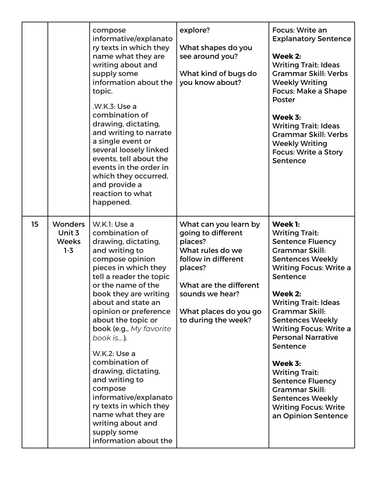|    |                                                     | compose<br>informative/explanato<br>ry texts in which they<br>name what they are<br>writing about and<br>supply some<br>information about the<br>topic.<br>.W.K.3: Use a<br>combination of<br>drawing, dictating,<br>and writing to narrate<br>a single event or<br>several loosely linked<br>events, tell about the<br>events in the order in<br>which they occurred,<br>and provide a<br>reaction to what<br>happened.                                                                                                                     | explore?<br>What shapes do you<br>see around you?<br>What kind of bugs do<br>you know about?                                                                                                              | Focus: Write an<br><b>Explanatory Sentence</b><br>Week 2:<br><b>Writing Trait: Ideas</b><br><b>Grammar Skill: Verbs</b><br><b>Weekly Writing</b><br>Focus: Make a Shape<br>Poster<br>Week 3:<br><b>Writing Trait: Ideas</b><br><b>Grammar Skill: Verbs</b><br><b>Weekly Writing</b><br><b>Focus: Write a Story</b><br>Sentence                                                                                                                                                                                |
|----|-----------------------------------------------------|----------------------------------------------------------------------------------------------------------------------------------------------------------------------------------------------------------------------------------------------------------------------------------------------------------------------------------------------------------------------------------------------------------------------------------------------------------------------------------------------------------------------------------------------|-----------------------------------------------------------------------------------------------------------------------------------------------------------------------------------------------------------|---------------------------------------------------------------------------------------------------------------------------------------------------------------------------------------------------------------------------------------------------------------------------------------------------------------------------------------------------------------------------------------------------------------------------------------------------------------------------------------------------------------|
| 15 | <b>Wonders</b><br>Unit 3<br><b>Weeks</b><br>$1 - 3$ | W.K.1: Use a<br>combination of<br>drawing, dictating,<br>and writing to<br>compose opinion<br>pieces in which they<br>tell a reader the topic<br>or the name of the<br>book they are writing<br>about and state an<br>opinion or preference<br>about the topic or<br>book (e.g., My favorite<br>book is).<br><b>W.K.2: Use a</b><br>combination of<br>drawing, dictating,<br>and writing to<br>compose<br>informative/explanato<br>ry texts in which they<br>name what they are<br>writing about and<br>supply some<br>information about the | What can you learn by<br>going to different<br>places?<br>What rules do we<br>follow in different<br>places?<br>What are the different<br>sounds we hear?<br>What places do you go<br>to during the week? | Week 1:<br><b>Writing Trait:</b><br><b>Sentence Fluency</b><br><b>Grammar Skill:</b><br><b>Sentences Weekly</b><br><b>Writing Focus: Write a</b><br>Sentence<br>Week 2:<br><b>Writing Trait: Ideas</b><br><b>Grammar Skill:</b><br><b>Sentences Weekly</b><br><b>Writing Focus: Write a</b><br><b>Personal Narrative</b><br>Sentence<br>Week 3:<br><b>Writing Trait:</b><br><b>Sentence Fluency</b><br><b>Grammar Skill:</b><br><b>Sentences Weekly</b><br><b>Writing Focus: Write</b><br>an Opinion Sentence |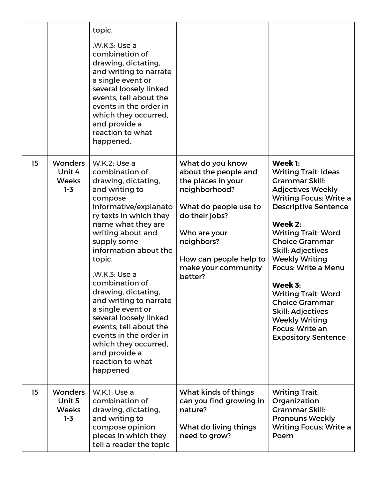|    |                                                     | topic.<br>.W.K.3: Use a<br>combination of<br>drawing, dictating,<br>and writing to narrate<br>a single event or<br>several loosely linked<br>events, tell about the<br>events in the order in<br>which they occurred,<br>and provide a<br>reaction to what<br>happened.                                                                                                                                                                                                                            |                                                                                                                                                                                                                      |                                                                                                                                                                                                                                                                                                                                                                                                                                                                                   |
|----|-----------------------------------------------------|----------------------------------------------------------------------------------------------------------------------------------------------------------------------------------------------------------------------------------------------------------------------------------------------------------------------------------------------------------------------------------------------------------------------------------------------------------------------------------------------------|----------------------------------------------------------------------------------------------------------------------------------------------------------------------------------------------------------------------|-----------------------------------------------------------------------------------------------------------------------------------------------------------------------------------------------------------------------------------------------------------------------------------------------------------------------------------------------------------------------------------------------------------------------------------------------------------------------------------|
| 15 | <b>Wonders</b><br>Unit 4<br><b>Weeks</b><br>$1 - 3$ | W.K.2: Use a<br>combination of<br>drawing, dictating,<br>and writing to<br>compose<br>informative/explanato<br>ry texts in which they<br>name what they are<br>writing about and<br>supply some<br>information about the<br>topic.<br>.W.K.3: Use a<br>combination of<br>drawing, dictating,<br>and writing to narrate<br>a single event or<br>several loosely linked<br>events, tell about the<br>events in the order in<br>which they occurred,<br>and provide a<br>reaction to what<br>happened | What do you know<br>about the people and<br>the places in your<br>neighborhood?<br>What do people use to<br>do their jobs?<br>Who are your<br>neighbors?<br>How can people help to<br>make your community<br>better? | Week 1:<br><b>Writing Trait: Ideas</b><br>Grammar Skill:<br><b>Adjectives Weekly</b><br><b>Writing Focus: Write a</b><br><b>Descriptive Sentence</b><br>Week 2:<br><b>Writing Trait: Word</b><br><b>Choice Grammar</b><br><b>Skill: Adjectives</b><br><b>Weekly Writing</b><br><b>Focus: Write a Menu</b><br>Week 3:<br><b>Writing Trait: Word</b><br><b>Choice Grammar</b><br><b>Skill: Adjectives</b><br><b>Weekly Writing</b><br>Focus: Write an<br><b>Expository Sentence</b> |
| 15 | <b>Wonders</b><br>Unit 5<br><b>Weeks</b><br>$1 - 3$ | W.K.I: Use a<br>combination of<br>drawing, dictating,<br>and writing to<br>compose opinion<br>pieces in which they<br>tell a reader the topic                                                                                                                                                                                                                                                                                                                                                      | What kinds of things<br>can you find growing in<br>nature?<br>What do living things<br>need to grow?                                                                                                                 | <b>Writing Trait:</b><br>Organization<br>Grammar Skill:<br><b>Pronouns Weekly</b><br><b>Writing Focus: Write a</b><br>Poem                                                                                                                                                                                                                                                                                                                                                        |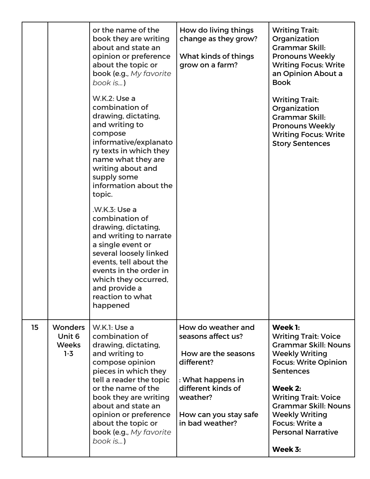|    |                                              | or the name of the<br>book they are writing<br>about and state an<br>opinion or preference<br>about the topic or<br>book (e.g., My favorite<br>book is)<br><b>W.K.2: Use a</b><br>combination of<br>drawing, dictating,<br>and writing to<br>compose<br>informative/explanato<br>ry texts in which they<br>name what they are<br>writing about and<br>supply some<br>information about the<br>topic.<br>.W.K.3: Use a<br>combination of<br>drawing, dictating,<br>and writing to narrate<br>a single event or<br>several loosely linked<br>events, tell about the<br>events in the order in<br>which they occurred,<br>and provide a<br>reaction to what | How do living things<br>change as they grow?<br>What kinds of things<br>grow on a farm?                                                                                          | <b>Writing Trait:</b><br>Organization<br><b>Grammar Skill:</b><br><b>Pronouns Weekly</b><br><b>Writing Focus: Write</b><br>an Opinion About a<br><b>Book</b><br><b>Writing Trait:</b><br>Organization<br><b>Grammar Skill:</b><br><b>Pronouns Weekly</b><br><b>Writing Focus: Write</b><br><b>Story Sentences</b> |
|----|----------------------------------------------|----------------------------------------------------------------------------------------------------------------------------------------------------------------------------------------------------------------------------------------------------------------------------------------------------------------------------------------------------------------------------------------------------------------------------------------------------------------------------------------------------------------------------------------------------------------------------------------------------------------------------------------------------------|----------------------------------------------------------------------------------------------------------------------------------------------------------------------------------|-------------------------------------------------------------------------------------------------------------------------------------------------------------------------------------------------------------------------------------------------------------------------------------------------------------------|
|    |                                              | happened                                                                                                                                                                                                                                                                                                                                                                                                                                                                                                                                                                                                                                                 |                                                                                                                                                                                  |                                                                                                                                                                                                                                                                                                                   |
| 15 | Wonders<br>Unit 6<br><b>Weeks</b><br>$1 - 3$ | W.K.1: Use a<br>combination of<br>drawing, dictating,<br>and writing to<br>compose opinion<br>pieces in which they<br>tell a reader the topic<br>or the name of the<br>book they are writing<br>about and state an<br>opinion or preference<br>about the topic or<br>book (e.g., My favorite<br>book is)                                                                                                                                                                                                                                                                                                                                                 | How do weather and<br>seasons affect us?<br>How are the seasons<br>different?<br>: What happens in<br>different kinds of<br>weather?<br>How can you stay safe<br>in bad weather? | Week 1:<br><b>Writing Trait: Voice</b><br><b>Grammar Skill: Nouns</b><br><b>Weekly Writing</b><br><b>Focus: Write Opinion</b><br><b>Sentences</b><br>Week 2:<br><b>Writing Trait: Voice</b><br><b>Grammar Skill: Nouns</b><br><b>Weekly Writing</b><br>Focus: Write a<br><b>Personal Narrative</b><br>Week 3:     |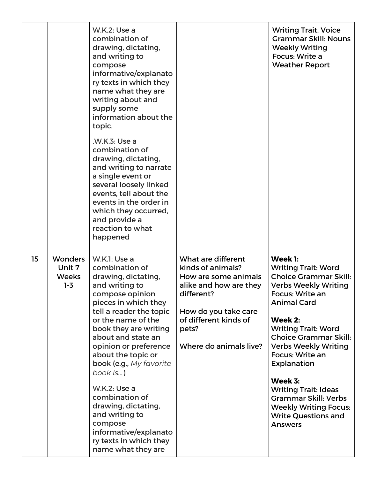|    |                                              | W.K.2: Use a<br>combination of<br>drawing, dictating,<br>and writing to<br>compose<br>informative/explanato<br>ry texts in which they<br>name what they are<br>writing about and<br>supply some<br>information about the<br>topic.<br>.W.K.3: Use a<br>combination of<br>drawing, dictating,<br>and writing to narrate<br>a single event or<br>several loosely linked<br>events, tell about the<br>events in the order in<br>which they occurred,<br>and provide a<br>reaction to what<br>happened |                                                                                                                                                                                             | <b>Writing Trait: Voice</b><br><b>Grammar Skill: Nouns</b><br><b>Weekly Writing</b><br>Focus: Write a<br><b>Weather Report</b>                                                                                                                                                                                                                                                                                                                          |
|----|----------------------------------------------|----------------------------------------------------------------------------------------------------------------------------------------------------------------------------------------------------------------------------------------------------------------------------------------------------------------------------------------------------------------------------------------------------------------------------------------------------------------------------------------------------|---------------------------------------------------------------------------------------------------------------------------------------------------------------------------------------------|---------------------------------------------------------------------------------------------------------------------------------------------------------------------------------------------------------------------------------------------------------------------------------------------------------------------------------------------------------------------------------------------------------------------------------------------------------|
| 15 | Wonders<br>Unit 7<br><b>Weeks</b><br>$1 - 3$ | W.K.1: Use a<br>combination of<br>drawing, dictating,<br>and writing to<br>compose opinion<br>pieces in which they<br>tell a reader the topic<br>or the name of the<br>book they are writing<br>about and state an<br>opinion or preference<br>about the topic or<br>book (e.g., My favorite<br>book is)<br><b>W.K.2: Use a</b><br>combination of<br>drawing, dictating,<br>and writing to<br>compose<br>informative/explanato<br>ry texts in which they<br>name what they are                     | What are different<br>kinds of animals?<br>How are some animals<br>alike and how are they<br>different?<br>How do you take care<br>of different kinds of<br>pets?<br>Where do animals live? | Week 1:<br><b>Writing Trait: Word</b><br><b>Choice Grammar Skill:</b><br><b>Verbs Weekly Writing</b><br>Focus: Write an<br><b>Animal Card</b><br>Week 2:<br><b>Writing Trait: Word</b><br><b>Choice Grammar Skill:</b><br><b>Verbs Weekly Writing</b><br>Focus: Write an<br><b>Explanation</b><br>Week 3:<br><b>Writing Trait: Ideas</b><br><b>Grammar Skill: Verbs</b><br><b>Weekly Writing Focus:</b><br><b>Write Questions and</b><br><b>Answers</b> |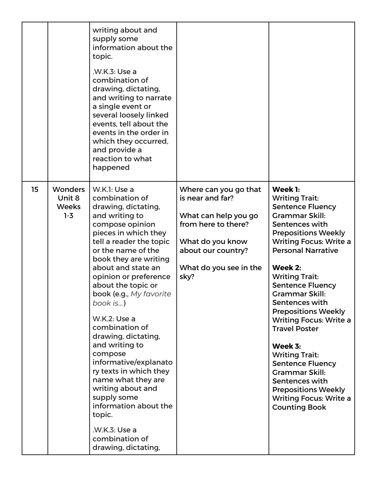|    |                                                     | writing about and<br>supply some<br>information about the<br>topic.<br>.W.K.3: Use a<br>combination of<br>drawing, dictating,<br>and writing to narrate<br>a single event or<br>several loosely linked<br>events, tell about the<br>events in the order in<br>which they occurred,<br>and provide a<br>reaction to what<br>happened                                                                                                                                                                                                                                                                      |                                                                                                                                                                      |                                                                                                                                                                                                                                                                                                                                                                                                                                                                                                                                                                                               |
|----|-----------------------------------------------------|----------------------------------------------------------------------------------------------------------------------------------------------------------------------------------------------------------------------------------------------------------------------------------------------------------------------------------------------------------------------------------------------------------------------------------------------------------------------------------------------------------------------------------------------------------------------------------------------------------|----------------------------------------------------------------------------------------------------------------------------------------------------------------------|-----------------------------------------------------------------------------------------------------------------------------------------------------------------------------------------------------------------------------------------------------------------------------------------------------------------------------------------------------------------------------------------------------------------------------------------------------------------------------------------------------------------------------------------------------------------------------------------------|
| 15 | <b>Wonders</b><br>Unit 8<br><b>Weeks</b><br>$1 - 3$ | W.K.1: Use a<br>combination of<br>drawing, dictating,<br>and writing to<br>compose opinion<br>pieces in which they<br>tell a reader the topic<br>or the name of the<br>book they are writing<br>about and state an<br>opinion or preference<br>about the topic or<br>book (e.g., My favorite<br>book is)<br>W.K.2: Use a<br>combination of<br>drawing, dictating,<br>and writing to<br>compose<br>informative/explanato<br>ry texts in which they<br>name what they are<br>writing about and<br>supply some<br>information about the<br>topic.<br>.W.K.3: Use a<br>combination of<br>drawing, dictating, | Where can you go that<br>is near and far?<br>What can help you go<br>from here to there?<br>What do you know<br>about our country?<br>What do you see in the<br>sky? | Week 1:<br><b>Writing Trait:</b><br><b>Sentence Fluency</b><br><b>Grammar Skill:</b><br>Sentences with<br><b>Prepositions Weekly</b><br><b>Writing Focus: Write a</b><br><b>Personal Narrative</b><br>Week 2:<br><b>Writing Trait:</b><br><b>Sentence Fluency</b><br>Grammar Skill:<br>Sentences with<br><b>Prepositions Weekly</b><br><b>Writing Focus: Write a</b><br><b>Travel Poster</b><br>Week 3:<br><b>Writing Trait:</b><br><b>Sentence Fluency</b><br><b>Grammar Skill:</b><br>Sentences with<br><b>Prepositions Weekly</b><br><b>Writing Focus: Write a</b><br><b>Counting Book</b> |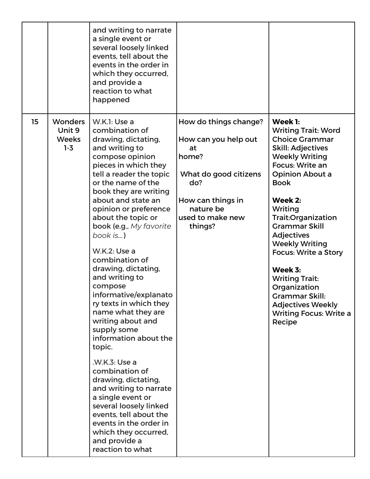|    |                                                     | and writing to narrate<br>a single event or<br>several loosely linked<br>events, tell about the<br>events in the order in<br>which they occurred,<br>and provide a<br>reaction to what<br>happened                                                                                                                                                                                                                                                                                                                                                                                                                                                                                                                                                                                                        |                                                                                                                                                               |                                                                                                                                                                                                                                                                                                                                                                                                                                                                                |
|----|-----------------------------------------------------|-----------------------------------------------------------------------------------------------------------------------------------------------------------------------------------------------------------------------------------------------------------------------------------------------------------------------------------------------------------------------------------------------------------------------------------------------------------------------------------------------------------------------------------------------------------------------------------------------------------------------------------------------------------------------------------------------------------------------------------------------------------------------------------------------------------|---------------------------------------------------------------------------------------------------------------------------------------------------------------|--------------------------------------------------------------------------------------------------------------------------------------------------------------------------------------------------------------------------------------------------------------------------------------------------------------------------------------------------------------------------------------------------------------------------------------------------------------------------------|
| 15 | <b>Wonders</b><br>Unit 9<br><b>Weeks</b><br>$1 - 3$ | W.K.1: Use a<br>combination of<br>drawing, dictating,<br>and writing to<br>compose opinion<br>pieces in which they<br>tell a reader the topic<br>or the name of the<br>book they are writing<br>about and state an<br>opinion or preference<br>about the topic or<br>book (e.g., My favorite<br>book is)<br><b>W.K.2: Use a</b><br>combination of<br>drawing, dictating,<br>and writing to<br>compose<br>informative/explanato<br>ry texts in which they<br>name what they are<br>writing about and<br>supply some<br>information about the<br>topic.<br>.W.K.3: Use a<br>combination of<br>drawing, dictating,<br>and writing to narrate<br>a single event or<br>several loosely linked<br>events, tell about the<br>events in the order in<br>which they occurred,<br>and provide a<br>reaction to what | How do things change?<br>How can you help out<br>at<br>home?<br>What do good citizens<br>do?<br>How can things in<br>nature be<br>used to make new<br>things? | Week 1:<br><b>Writing Trait: Word</b><br><b>Choice Grammar</b><br><b>Skill: Adjectives</b><br><b>Weekly Writing</b><br>Focus: Write an<br><b>Opinion About a</b><br><b>Book</b><br>Week 2:<br>Writing<br>Trait: Organization<br><b>Grammar Skill</b><br><b>Adjectives</b><br><b>Weekly Writing</b><br><b>Focus: Write a Story</b><br>Week 3:<br><b>Writing Trait:</b><br>Organization<br>Grammar Skill:<br><b>Adjectives Weekly</b><br><b>Writing Focus: Write a</b><br>Recipe |